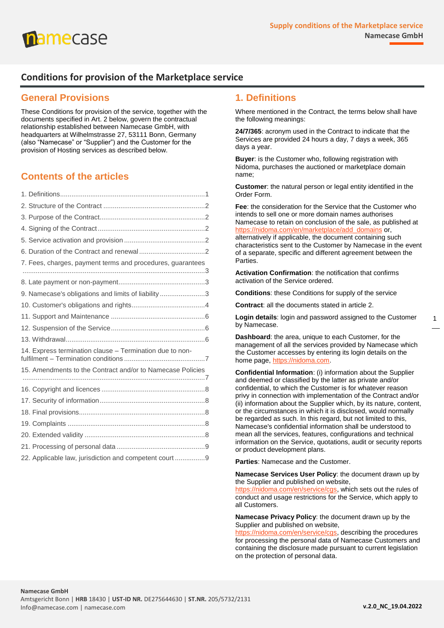

# **Conditions for provision of the Marketplace service**

# **General Provisions**

These Conditions for provision of the service, together with the documents specified in Art. 2 below, govern the contractual relationship established between Namecase GmbH, with headquarters at Wilhelmstrasse 27, 53111 Bonn, Germany (also "Namecase" or "Supplier") and the Customer for the provision of Hosting services as described below.

# **Contents of the articles**

| 7. Fees, charges, payment terms and procedures, guarantees |  |
|------------------------------------------------------------|--|
|                                                            |  |
| 9. Namecase's obligations and limits of liability3         |  |
|                                                            |  |
|                                                            |  |
|                                                            |  |
|                                                            |  |
| 14. Express termination clause - Termination due to non-   |  |
| 15. Amendments to the Contract and/or to Namecase Policies |  |
|                                                            |  |
|                                                            |  |
|                                                            |  |
|                                                            |  |
|                                                            |  |
|                                                            |  |
|                                                            |  |
| 22. Applicable law, jurisdiction and competent court 9     |  |

# <span id="page-0-0"></span>**1. Definitions**

Where mentioned in the Contract, the terms below shall have the following meanings:

**24/7/365**: acronym used in the Contract to indicate that the Services are provided 24 hours a day, 7 days a week, 365 days a year.

**Buyer**: is the Customer who, following registration with Nidoma, purchases the auctioned or marketplace domain name;

**Customer**: the natural person or legal entity identified in the Order Form.

**Fee**: the consideration for the Service that the Customer who intends to sell one or more domain names authorises Namecase to retain on conclusion of the sale, as published at [https://nidoma.com/en/marketplace/add\\_domains](https://nidoma.com/en/marketplace/add_domains) or, alternatively if applicable, the document containing such characteristics sent to the Customer by Namecase in the event of a separate, specific and different agreement between the **Parties** 

**Activation Confirmation**: the notification that confirms activation of the Service ordered.

**Conditions**: these Conditions for supply of the service

**Contract**: all the documents stated in article 2.

**Login details**: login and password assigned to the Customer by Namecase.

**Dashboard**: the area, unique to each Customer, for the management of all the services provided by Namecase which the Customer accesses by entering its login details on the home page[, https://nidoma.com.](https://nidoma.com/)

**Confidential Information**: (i) information about the Supplier and deemed or classified by the latter as private and/or confidential, to which the Customer is for whatever reason privy in connection with implementation of the Contract and/or (ii) information about the Supplier which, by its nature, content, or the circumstances in which it is disclosed, would normally be regarded as such. In this regard, but not limited to this, Namecase's confidential information shall be understood to mean all the services, features, configurations and technical information on the Service, quotations, audit or security reports or product development plans.

**Parties**: Namecase and the Customer.

**Namecase Services User Policy**: the document drawn up by the Supplier and published on website,

[https://nidoma.com/en/service/cgs,](https://nidoma.com/en/service/cgs) which sets out the rules of conduct and usage restrictions for the Service, which apply to all Customers.

**Namecase Privacy Policy**: the document drawn up by the Supplier and published on website,

[https://nidoma.com/en/service/cgs,](https://nidoma.com/en/service/cgs) describing the procedures for processing the personal data of Namecase Customers and containing the disclosure made pursuant to current legislation on the protection of personal data.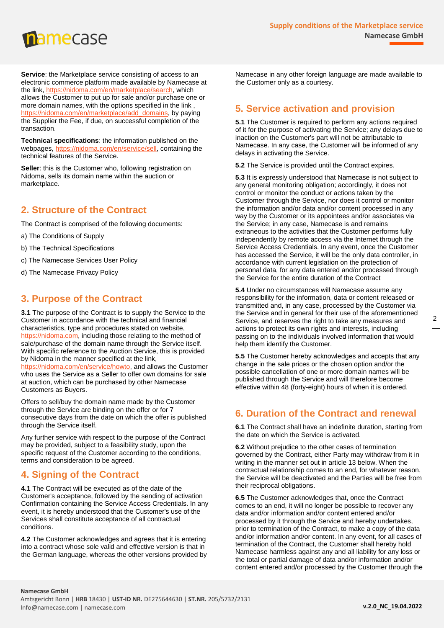

**Service:** the Marketplace service consisting of access to an electronic commerce platform made available by Namecase at the link, [https://nidoma.com/en/marketplace/search,](https://nidoma.com/en/marketplace/search) which allows the Customer to put up for sale and/or purchase one or more domain names, with the options specified in the link , [https://nidoma.com/en/marketplace/add\\_domains,](https://nidoma.com/en/marketplace/add_domains) by paying the Supplier the Fee, if due, on successful completion of the transaction.

**Technical specifications**: the information published on the webpages, [https://nidoma.com/en/service/sell,](https://nidoma.com/en/service/sell) containing the technical features of the Service.

**Seller:** this is the Customer who, following registration on Nidoma, sells its domain name within the auction or marketplace.

# <span id="page-1-0"></span>**2. Structure of the Contract**

The Contract is comprised of the following documents:

- a) The Conditions of Supply
- b) The Technical Specifications
- c) The Namecase Services User Policy
- d) The Namecase Privacy Policy

# <span id="page-1-1"></span>**3. Purpose of the Contract**

**3.1** The purpose of the Contract is to supply the Service to the Customer in accordance with the technical and financial characteristics, type and procedures stated on website, [https://nidoma.com,](https://nidoma.com/) including those relating to the method of sale/purchase of the domain name through the Service itself. With specific reference to the Auction Service, this is provided by Nidoma in the manner specified at the link, [https://nidoma.com/en/service/howto,](https://nidoma.com/en/service/howto) and allows the Customer who uses the Service as a Seller to offer own domains for sale at auction, which can be purchased by other Namecase Customers as Buyers.

Offers to sell/buy the domain name made by the Customer through the Service are binding on the offer or for 7 consecutive days from the date on which the offer is published through the Service itself.

Any further service with respect to the purpose of the Contract may be provided, subject to a feasibility study, upon the specific request of the Customer according to the conditions, terms and consideration to be agreed.

# <span id="page-1-2"></span>**4. Signing of the Contract**

**4.1** The Contract will be executed as of the date of the Customer's acceptance, followed by the sending of activation Confirmation containing the Service Access Credentials. In any event, it is hereby understood that the Customer's use of the Services shall constitute acceptance of all contractual conditions.

**4.2** The Customer acknowledges and agrees that it is entering into a contract whose sole valid and effective version is that in the German language, whereas the other versions provided by Namecase in any other foreign language are made available to the Customer only as a courtesy.

# <span id="page-1-3"></span>**5. Service activation and provision**

**5.1** The Customer is required to perform any actions required of it for the purpose of activating the Service; any delays due to inaction on the Customer's part will not be attributable to Namecase. In any case, the Customer will be informed of any delays in activating the Service.

**5.2** The Service is provided until the Contract expires.

**5.3** It is expressly understood that Namecase is not subject to any general monitoring obligation; accordingly, it does not control or monitor the conduct or actions taken by the Customer through the Service, nor does it control or monitor the information and/or data and/or content processed in any way by the Customer or its appointees and/or associates via the Service; in any case, Namecase is and remains extraneous to the activities that the Customer performs fully independently by remote access via the Internet through the Service Access Credentials. In any event, once the Customer has accessed the Service, it will be the only data controller, in accordance with current legislation on the protection of personal data, for any data entered and/or processed through the Service for the entire duration of the Contract

**5.4** Under no circumstances will Namecase assume any responsibility for the information, data or content released or transmitted and, in any case, processed by the Customer via the Service and in general for their use of the aforementioned Service, and reserves the right to take any measures and actions to protect its own rights and interests, including passing on to the individuals involved information that would help them identify the Customer.

**5.5** The Customer hereby acknowledges and accepts that any change in the sale prices or the chosen option and/or the possible cancellation of one or more domain names will be published through the Service and will therefore become effective within 48 (forty-eight) hours of when it is ordered.

# <span id="page-1-4"></span>**6. Duration of the Contract and renewal**

**6.1** The Contract shall have an indefinite duration, starting from the date on which the Service is activated.

**6.2** Without prejudice to the other cases of termination governed by the Contract, either Party may withdraw from it in writing in the manner set out in article 13 below. When the contractual relationship comes to an end, for whatever reason, the Service will be deactivated and the Parties will be free from their reciprocal obligations.

**6.5** The Customer acknowledges that, once the Contract comes to an end, it will no longer be possible to recover any data and/or information and/or content entered and/or processed by it through the Service and hereby undertakes, prior to termination of the Contract, to make a copy of the data and/or information and/or content. In any event, for all cases of termination of the Contract, the Customer shall hereby hold Namecase harmless against any and all liability for any loss or the total or partial damage of data and/or information and/or content entered and/or processed by the Customer through the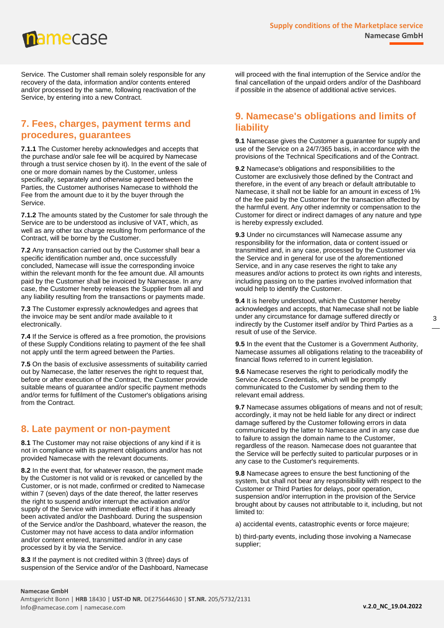mamecase

Service. The Customer shall remain solely responsible for any recovery of the data, information and/or contents entered and/or processed by the same, following reactivation of the Service, by entering into a new Contract.

#### <span id="page-2-0"></span>**7. Fees, charges, payment terms and procedures, guarantees**

**7.1.1** The Customer hereby acknowledges and accepts that the purchase and/or sale fee will be acquired by Namecase through a trust service chosen by it). In the event of the sale of one or more domain names by the Customer, unless specifically, separately and otherwise agreed between the Parties, the Customer authorises Namecase to withhold the Fee from the amount due to it by the buyer through the Service.

**7.1.2** The amounts stated by the Customer for sale through the Service are to be understood as inclusive of VAT, which, as well as any other tax charge resulting from performance of the Contract, will be borne by the Customer.

**7.2** Any transaction carried out by the Customer shall bear a specific identification number and, once successfully concluded, Namecase will issue the corresponding invoice within the relevant month for the fee amount due. All amounts paid by the Customer shall be invoiced by Namecase. In any case, the Customer hereby releases the Supplier from all and any liability resulting from the transactions or payments made.

**7.3** The Customer expressly acknowledges and agrees that the invoice may be sent and/or made available to it electronically.

**7.4** If the Service is offered as a free promotion, the provisions of these Supply Conditions relating to payment of the fee shall not apply until the term agreed between the Parties.

**7.5** On the basis of exclusive assessments of suitability carried out by Namecase, the latter reserves the right to request that, before or after execution of the Contract, the Customer provide suitable means of guarantee and/or specific payment methods and/or terms for fulfilment of the Customer's obligations arising from the Contract.

# <span id="page-2-1"></span>**8. Late payment or non-payment**

**8.1** The Customer may not raise objections of any kind if it is not in compliance with its payment obligations and/or has not provided Namecase with the relevant documents.

**8.2** In the event that, for whatever reason, the payment made by the Customer is not valid or is revoked or cancelled by the Customer, or is not made, confirmed or credited to Namecase within 7 (seven) days of the date thereof, the latter reserves the right to suspend and/or interrupt the activation and/or supply of the Service with immediate effect if it has already been activated and/or the Dashboard. During the suspension of the Service and/or the Dashboard, whatever the reason, the Customer may not have access to data and/or information and/or content entered, transmitted and/or in any case processed by it by via the Service.

**8.3** If the payment is not credited within 3 (three) days of suspension of the Service and/or of the Dashboard, Namecase will proceed with the final interruption of the Service and/or the final cancellation of the unpaid orders and/or of the Dashboard if possible in the absence of additional active services.

# <span id="page-2-2"></span>**9. Namecase's obligations and limits of liability**

**9.1** Namecase gives the Customer a guarantee for supply and use of the Service on a 24/7/365 basis, in accordance with the provisions of the Technical Specifications and of the Contract.

**9.2** Namecase's obligations and responsibilities to the Customer are exclusively those defined by the Contract and therefore, in the event of any breach or default attributable to Namecase, it shall not be liable for an amount in excess of 1% of the fee paid by the Customer for the transaction affected by the harmful event. Any other indemnity or compensation to the Customer for direct or indirect damages of any nature and type is hereby expressly excluded.

**9.3** Under no circumstances will Namecase assume any responsibility for the information, data or content issued or transmitted and, in any case, processed by the Customer via the Service and in general for use of the aforementioned Service, and in any case reserves the right to take any measures and/or actions to protect its own rights and interests, including passing on to the parties involved information that would help to identify the Customer.

**9.4** It is hereby understood, which the Customer hereby acknowledges and accepts, that Namecase shall not be liable under any circumstance for damage suffered directly or indirectly by the Customer itself and/or by Third Parties as a result of use of the Service.

**9.5** In the event that the Customer is a Government Authority, Namecase assumes all obligations relating to the traceability of financial flows referred to in current legislation.

**9.6** Namecase reserves the right to periodically modify the Service Access Credentials, which will be promptly communicated to the Customer by sending them to the relevant email address.

**9.7** Namecase assumes obligations of means and not of result; accordingly, it may not be held liable for any direct or indirect damage suffered by the Customer following errors in data communicated by the latter to Namecase and in any case due to failure to assign the domain name to the Customer, regardless of the reason. Namecase does not guarantee that the Service will be perfectly suited to particular purposes or in any case to the Customer's requirements.

**9.8** Namecase agrees to ensure the best functioning of the system, but shall not bear any responsibility with respect to the Customer or Third Parties for delays, poor operation, suspension and/or interruption in the provision of the Service brought about by causes not attributable to it, including, but not limited to:

a) accidental events, catastrophic events or force majeure;

b) third-party events, including those involving a Namecase supplier;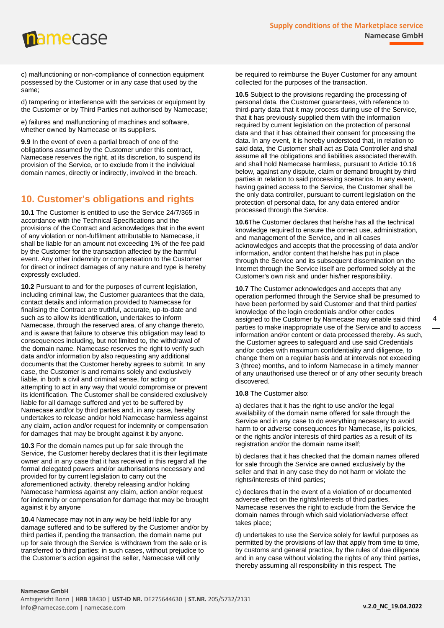mamecase

c) malfunctioning or non-compliance of connection equipment possessed by the Customer or in any case that used by the same;

d) tampering or interference with the services or equipment by the Customer or by Third Parties not authorised by Namecase;

e) failures and malfunctioning of machines and software, whether owned by Namecase or its suppliers.

**9.9** In the event of even a partial breach of one of the obligations assumed by the Customer under this contract, Namecase reserves the right, at its discretion, to suspend its provision of the Service, or to exclude from it the individual domain names, directly or indirectly, involved in the breach.

# <span id="page-3-0"></span>**10. Customer's obligations and rights**

**10.1** The Customer is entitled to use the Service 24/7/365 in accordance with the Technical Specifications and the provisions of the Contract and acknowledges that in the event of any violation or non-fulfilment attributable to Namecase, it shall be liable for an amount not exceeding 1% of the fee paid by the Customer for the transaction affected by the harmful event. Any other indemnity or compensation to the Customer for direct or indirect damages of any nature and type is hereby expressly excluded.

**10.2** Pursuant to and for the purposes of current legislation, including criminal law, the Customer guarantees that the data, contact details and information provided to Namecase for finalising the Contract are truthful, accurate, up-to-date and such as to allow its identification, undertakes to inform Namecase, through the reserved area, of any change thereto, and is aware that failure to observe this obligation may lead to consequences including, but not limited to, the withdrawal of the domain name. Namecase reserves the right to verify such data and/or information by also requesting any additional documents that the Customer hereby agrees to submit. In any case, the Customer is and remains solely and exclusively liable, in both a civil and criminal sense, for acting or attempting to act in any way that would compromise or prevent its identification. The Customer shall be considered exclusively liable for all damage suffered and yet to be suffered by Namecase and/or by third parties and, in any case, hereby undertakes to release and/or hold Namecase harmless against any claim, action and/or request for indemnity or compensation for damages that may be brought against it by anyone.

**10.3** For the domain names put up for sale through the Service, the Customer hereby declares that it is their legitimate owner and in any case that it has received in this regard all the formal delegated powers and/or authorisations necessary and provided for by current legislation to carry out the aforementioned activity, thereby releasing and/or holding Namecase harmless against any claim, action and/or request for indemnity or compensation for damage that may be brought against it by anyone

**10.4** Namecase may not in any way be held liable for any damage suffered and to be suffered by the Customer and/or by third parties if, pending the transaction, the domain name put up for sale through the Service is withdrawn from the sale or is transferred to third parties; in such cases, without prejudice to the Customer's action against the seller, Namecase will only

be required to reimburse the Buyer Customer for any amount collected for the purposes of the transaction.

**10.5** Subject to the provisions regarding the processing of personal data, the Customer guarantees, with reference to third-party data that it may process during use of the Service, that it has previously supplied them with the information required by current legislation on the protection of personal data and that it has obtained their consent for processing the data. In any event, it is hereby understood that, in relation to said data, the Customer shall act as Data Controller and shall assume all the obligations and liabilities associated therewith, and shall hold Namecase harmless, pursuant to Article 10.16 below, against any dispute, claim or demand brought by third parties in relation to said processing scenarios. In any event, having gained access to the Service, the Customer shall be the only data controller, pursuant to current legislation on the protection of personal data, for any data entered and/or processed through the Service.

**10.6**The Customer declares that he/she has all the technical knowledge required to ensure the correct use, administration, and management of the Service, and in all cases acknowledges and accepts that the processing of data and/or information, and/or content that he/she has put in place through the Service and its subsequent dissemination on the Internet through the Service itself are performed solely at the Customer's own risk and under his/her responsibility.

**10.7** The Customer acknowledges and accepts that any operation performed through the Service shall be presumed to have been performed by said Customer and that third parties' knowledge of the login credentials and/or other codes assigned to the Customer by Namecase may enable said third parties to make inappropriate use of the Service and to access information and/or content or data processed thereby. As such, the Customer agrees to safeguard and use said Credentials and/or codes with maximum confidentiality and diligence, to change them on a regular basis and at intervals not exceeding 3 (three) months, and to inform Namecase in a timely manner of any unauthorised use thereof or of any other security breach discovered.

#### **10.8** The Customer also:

a) declares that it has the right to use and/or the legal availability of the domain name offered for sale through the Service and in any case to do everything necessary to avoid harm to or adverse consequences for Namecase, its policies, or the rights and/or interests of third parties as a result of its registration and/or the domain name itself;

b) declares that it has checked that the domain names offered for sale through the Service are owned exclusively by the seller and that in any case they do not harm or violate the rights/interests of third parties;

c) declares that in the event of a violation of or documented adverse effect on the rights/interests of third parties, Namecase reserves the right to exclude from the Service the domain names through which said violation/adverse effect takes place;

d) undertakes to use the Service solely for lawful purposes as permitted by the provisions of law that apply from time to time, by customs and general practice, by the rules of due diligence and in any case without violating the rights of any third parties, thereby assuming all responsibility in this respect. The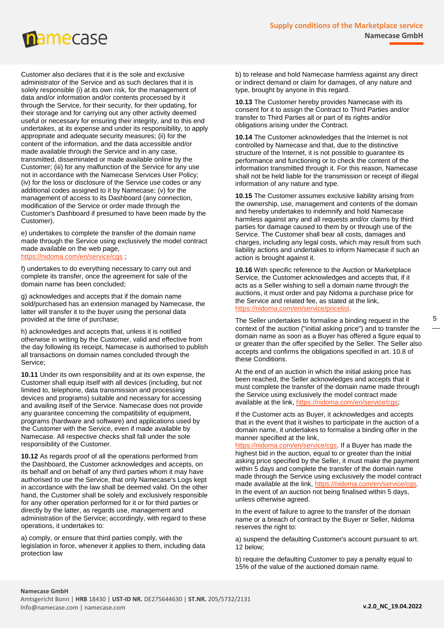

Customer also declares that it is the sole and exclusive administrator of the Service and as such declares that it is solely responsible (i) at its own risk, for the management of data and/or information and/or contents processed by it through the Service, for their security, for their updating, for their storage and for carrying out any other activity deemed useful or necessary for ensuring their integrity, and to this end undertakes, at its expense and under its responsibility, to apply appropriate and adequate security measures; (ii) for the content of the information, and the data accessible and/or made available through the Service and in any case, transmitted, disseminated or made available online by the Customer; (iii) for any malfunction of the Service for any use not in accordance with the Namecase Services User Policy; (iv) for the loss or disclosure of the Service use codes or any additional codes assigned to it by Namecase; (v) for the management of access to its Dashboard (any connection, modification of the Service or order made through the Customer's Dashboard if presumed to have been made by the Customer).

e) undertakes to complete the transfer of the domain name made through the Service using exclusively the model contract made available on the web page, <https://nidoma.com/en/service/cgs>;

f) undertakes to do everything necessary to carry out and complete its transfer, once the agreement for sale of the domain name has been concluded;

g) acknowledges and accepts that if the domain name sold/purchased has an extension managed by Namecase, the latter will transfer it to the buyer using the personal data provided at the time of purchase;

h) acknowledges and accepts that, unless it is notified otherwise in writing by the Customer, valid and effective from the day following its receipt, Namecase is authorised to publish all transactions on domain names concluded through the Service;

**10.11** Under its own responsibility and at its own expense, the Customer shall equip itself with all devices (including, but not limited to, telephone, data transmission and processing devices and programs) suitable and necessary for accessing and availing itself of the Service. Namecase does not provide any guarantee concerning the compatibility of equipment, programs (hardware and software) and applications used by the Customer with the Service, even if made available by Namecase. All respective checks shall fall under the sole responsibility of the Customer.

**10.12** As regards proof of all the operations performed from the Dashboard, the Customer acknowledges and accepts, on its behalf and on behalf of any third parties whom it may have authorised to use the Service, that only Namecase's Logs kept in accordance with the law shall be deemed valid. On the other hand, the Customer shall be solely and exclusively responsible for any other operation performed for it or for third parties or directly by the latter, as regards use, management and administration of the Service; accordingly, with regard to these operations, it undertakes to:

a) comply, or ensure that third parties comply, with the legislation in force, whenever it applies to them, including data protection law

b) to release and hold Namecase harmless against any direct or indirect demand or claim for damages, of any nature and type, brought by anyone in this regard.

**10.13** The Customer hereby provides Namecase with its consent for it to assign the Contract to Third Parties and/or transfer to Third Parties all or part of its rights and/or obligations arising under the Contract.

**10.14** The Customer acknowledges that the Internet is not controlled by Namecase and that, due to the distinctive structure of the Internet, it is not possible to guarantee its performance and functioning or to check the content of the information transmitted through it. For this reason, Namecase shall not be held liable for the transmission or receipt of illegal information of any nature and type.

**10.15** The Customer assumes exclusive liability arising from the ownership, use, management and contents of the domain and hereby undertakes to indemnify and hold Namecase harmless against any and all requests and/or claims by third parties for damage caused to them by or through use of the Service. The Customer shall bear all costs, damages and charges, including any legal costs, which may result from such liability actions and undertakes to inform Namecase if such an action is brought against it.

**10.16** With specific reference to the Auction or Marketplace Service, the Customer acknowledges and accepts that, if it acts as a Seller wishing to sell a domain name through the auctions, it must order and pay Nidoma a purchase price for the Service and related fee, as stated at the link, hidoma.com/en/servic

The Seller undertakes to formalise a binding request in the context of the auction ("initial asking price") and to transfer the domain name as soon as a Buyer has offered a figure equal to or greater than the offer specified by the Seller. The Seller also accepts and confirms the obligations specified in art. 10.8 of these Conditions.

At the end of an auction in which the initial asking price has been reached, the Seller acknowledges and accepts that it must complete the transfer of the domain name made through the Service using exclusively the model contract made available at the link, [https://nidoma.com/en/service/cgs;](https://nidoma.com/en/service/cgs)

If the Customer acts as Buyer, it acknowledges and accepts that in the event that it wishes to participate in the auction of a domain name, it undertakes to formalise a binding offer in the manner specified at the link,

[https://nidoma.com/en/service/cgs.](https://nidoma.com/en/service/cgs) If a Buyer has made the highest bid in the auction, equal to or greater than the initial asking price specified by the Seller, it must make the payment within 5 days and complete the transfer of the domain name made through the Service using exclusively the model contract made available at the link, [https://nidoma.com/en/service/cgs.](https://nidoma.com/en/service/cgs) In the event of an auction not being finalised within 5 days, unless otherwise agreed.

In the event of failure to agree to the transfer of the domain name or a breach of contract by the Buyer or Seller, Nidoma reserves the right to:

a) suspend the defaulting Customer's account pursuant to art. 12 below;

b) require the defaulting Customer to pay a penalty equal to 15% of the value of the auctioned domain name.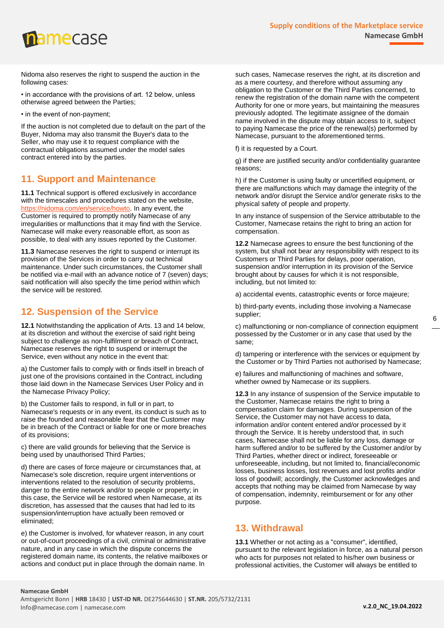

Nidoma also reserves the right to suspend the auction in the following cases:

• in accordance with the provisions of art. 12 below, unless otherwise agreed between the Parties;

• in the event of non-payment;

If the auction is not completed due to default on the part of the Buyer, Nidoma may also transmit the Buyer's data to the Seller, who may use it to request compliance with the contractual obligations assumed under the model sales contract entered into by the parties.

#### <span id="page-5-0"></span>**11. Support and Maintenance**

**11.1** Technical support is offered exclusively in accordance with the timescales and procedures stated on the website, [https://nidoma.com/en/service/howto.](https://nidoma.com/en/service/howto) In any event, the Customer is required to promptly notify Namecase of any irregularities or malfunctions that it may find with the Service. Namecase will make every reasonable effort, as soon as possible, to deal with any issues reported by the Customer.

**11.3** Namecase reserves the right to suspend or interrupt its provision of the Services in order to carry out technical maintenance. Under such circumstances, the Customer shall be notified via e-mail with an advance notice of 7 (seven) days; said notification will also specify the time period within which the service will be restored.

# <span id="page-5-1"></span>**12. Suspension of the Service**

**12.1** Notwithstanding the application of Arts. 13 and 14 below, at its discretion and without the exercise of said right being subject to challenge as non-fulfilment or breach of Contract, Namecase reserves the right to suspend or interrupt the Service, even without any notice in the event that:

a) the Customer fails to comply with or finds itself in breach of just one of the provisions contained in the Contract, including those laid down in the Namecase Services User Policy and in the Namecase Privacy Policy;

b) the Customer fails to respond, in full or in part, to Namecase's requests or in any event, its conduct is such as to raise the founded and reasonable fear that the Customer may be in breach of the Contract or liable for one or more breaches of its provisions;

c) there are valid grounds for believing that the Service is being used by unauthorised Third Parties;

d) there are cases of force majeure or circumstances that, at Namecase's sole discretion, require urgent interventions or interventions related to the resolution of security problems, danger to the entire network and/or to people or property; in this case, the Service will be restored when Namecase, at its discretion, has assessed that the causes that had led to its suspension/interruption have actually been removed or eliminated;

e) the Customer is involved, for whatever reason, in any court or out-of-court proceedings of a civil, criminal or administrative nature, and in any case in which the dispute concerns the registered domain name, its contents, the relative mailboxes or actions and conduct put in place through the domain name. In

such cases, Namecase reserves the right, at its discretion and as a mere courtesy, and therefore without assuming any obligation to the Customer or the Third Parties concerned, to renew the registration of the domain name with the competent Authority for one or more years, but maintaining the measures previously adopted. The legitimate assignee of the domain name involved in the dispute may obtain access to it, subject to paying Namecase the price of the renewal(s) performed by Namecase, pursuant to the aforementioned terms.

f) it is requested by a Court.

g) if there are justified security and/or confidentiality guarantee reasons;

h) if the Customer is using faulty or uncertified equipment, or there are malfunctions which may damage the integrity of the network and/or disrupt the Service and/or generate risks to the physical safety of people and property.

In any instance of suspension of the Service attributable to the Customer, Namecase retains the right to bring an action for compensation.

**12.2** Namecase agrees to ensure the best functioning of the system, but shall not bear any responsibility with respect to its Customers or Third Parties for delays, poor operation, suspension and/or interruption in its provision of the Service brought about by causes for which it is not responsible, including, but not limited to:

a) accidental events, catastrophic events or force majeure;

b) third-party events, including those involving a Namecase supplier;

c) malfunctioning or non-compliance of connection equipment possessed by the Customer or in any case that used by the same;

d) tampering or interference with the services or equipment by the Customer or by Third Parties not authorised by Namecase;

e) failures and malfunctioning of machines and software, whether owned by Namecase or its suppliers.

**12.3** In any instance of suspension of the Service imputable to the Customer, Namecase retains the right to bring a compensation claim for damages. During suspension of the Service, the Customer may not have access to data, information and/or content entered and/or processed by it through the Service. It is hereby understood that, in such cases, Namecase shall not be liable for any loss, damage or harm suffered and/or to be suffered by the Customer and/or by Third Parties, whether direct or indirect, foreseeable or unforeseeable, including, but not limited to, financial/economic losses, business losses, lost revenues and lost profits and/or loss of goodwill; accordingly, the Customer acknowledges and accepts that nothing may be claimed from Namecase by way of compensation, indemnity, reimbursement or for any other purpose.

# <span id="page-5-2"></span>**13. Withdrawal**

**13.1** Whether or not acting as a "consumer", identified, pursuant to the relevant legislation in force, as a natural person who acts for purposes not related to his/her own business or professional activities, the Customer will always be entitled to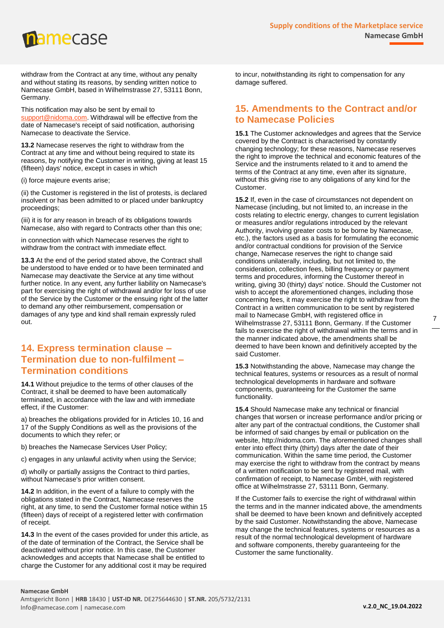

withdraw from the Contract at any time, without any penalty and without stating its reasons, by sending written notice to Namecase GmbH, based in Wilhelmstrasse 27, 53111 Bonn, Germany.

This notification may also be sent by email to [support@nidoma.com.](mailto:support@nidoma.com) Withdrawal will be effective from the date of Namecase's receipt of said notification, authorising Namecase to deactivate the Service.

**13.2** Namecase reserves the right to withdraw from the Contract at any time and without being required to state its reasons, by notifying the Customer in writing, giving at least 15 (fifteen) days' notice, except in cases in which

(i) force majeure events arise;

(ii) the Customer is registered in the list of protests, is declared insolvent or has been admitted to or placed under bankruptcy proceedings;

(iii) it is for any reason in breach of its obligations towards Namecase, also with regard to Contracts other than this one;

in connection with which Namecase reserves the right to withdraw from the contract with immediate effect.

**13.3** At the end of the period stated above, the Contract shall be understood to have ended or to have been terminated and Namecase may deactivate the Service at any time without further notice. In any event, any further liability on Namecase's part for exercising the right of withdrawal and/or for loss of use of the Service by the Customer or the ensuing right of the latter to demand any other reimbursement, compensation or damages of any type and kind shall remain expressly ruled out.

## <span id="page-6-0"></span>**14. Express termination clause – Termination due to non-fulfilment – Termination conditions**

**14.1** Without prejudice to the terms of other clauses of the Contract, it shall be deemed to have been automatically terminated, in accordance with the law and with immediate effect, if the Customer:

a) breaches the obligations provided for in Articles 10, 16 and 17 of the Supply Conditions as well as the provisions of the documents to which they refer; or

b) breaches the Namecase Services User Policy;

c) engages in any unlawful activity when using the Service;

d) wholly or partially assigns the Contract to third parties, without Namecase's prior written consent.

**14.2** In addition, in the event of a failure to comply with the obligations stated in the Contract, Namecase reserves the right, at any time, to send the Customer formal notice within 15 (fifteen) days of receipt of a registered letter with confirmation of receipt.

**14.3** In the event of the cases provided for under this article, as of the date of termination of the Contract, the Service shall be deactivated without prior notice. In this case, the Customer acknowledges and accepts that Namecase shall be entitled to charge the Customer for any additional cost it may be required

to incur, notwithstanding its right to compensation for any damage suffered.

# <span id="page-6-1"></span>**15. Amendments to the Contract and/or to Namecase Policies**

**15.1** The Customer acknowledges and agrees that the Service covered by the Contract is characterised by constantly changing technology; for these reasons, Namecase reserves the right to improve the technical and economic features of the Service and the instruments related to it and to amend the terms of the Contract at any time, even after its signature, without this giving rise to any obligations of any kind for the Customer.

**15.2** If, even in the case of circumstances not dependent on Namecase (including, but not limited to, an increase in the costs relating to electric energy, changes to current legislation or measures and/or regulations introduced by the relevant Authority, involving greater costs to be borne by Namecase, etc.), the factors used as a basis for formulating the economic and/or contractual conditions for provision of the Service change, Namecase reserves the right to change said conditions unilaterally, including, but not limited to, the consideration, collection fees, billing frequency or payment terms and procedures, informing the Customer thereof in writing, giving 30 (thirty) days' notice. Should the Customer not wish to accept the aforementioned changes, including those concerning fees, it may exercise the right to withdraw from the Contract in a written communication to be sent by registered mail to Namecase GmbH, with registered office in Wilhelmstrasse 27, 53111 Bonn, Germany. If the Customer fails to exercise the right of withdrawal within the terms and in the manner indicated above, the amendments shall be deemed to have been known and definitively accepted by the said Customer.

**15.3** Notwithstanding the above, Namecase may change the technical features, systems or resources as a result of normal technological developments in hardware and software components, guaranteeing for the Customer the same functionality.

**15.4** Should Namecase make any technical or financial changes that worsen or increase performance and/or pricing or alter any part of the contractual conditions, the Customer shall be informed of said changes by email or publication on the website, http://nidoma.com. The aforementioned changes shall enter into effect thirty (thirty) days after the date of their communication. Within the same time period, the Customer may exercise the right to withdraw from the contract by means of a written notification to be sent by registered mail, with confirmation of receipt, to Namecase GmbH, with registered office at Wilhelmstrasse 27, 53111 Bonn, Germany.

If the Customer fails to exercise the right of withdrawal within the terms and in the manner indicated above, the amendments shall be deemed to have been known and definitively accepted by the said Customer. Notwithstanding the above, Namecase may change the technical features, systems or resources as a result of the normal technological development of hardware and software components, thereby guaranteeing for the Customer the same functionality.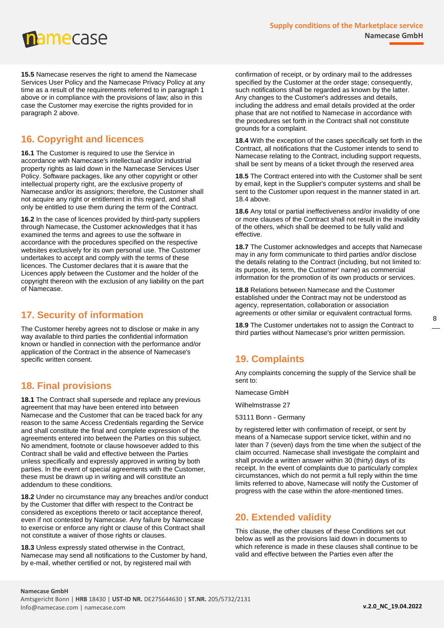

**15.5** Namecase reserves the right to amend the Namecase Services User Policy and the Namecase Privacy Policy at any time as a result of the requirements referred to in paragraph 1 above or in compliance with the provisions of law; also in this case the Customer may exercise the rights provided for in paragraph 2 above.

# <span id="page-7-0"></span>**16. Copyright and licences**

**16.1** The Customer is required to use the Service in accordance with Namecase's intellectual and/or industrial property rights as laid down in the Namecase Services User Policy. Software packages, like any other copyright or other intellectual property right, are the exclusive property of Namecase and/or its assignors; therefore, the Customer shall not acquire any right or entitlement in this regard, and shall only be entitled to use them during the term of the Contract.

**16.2** In the case of licences provided by third-party suppliers through Namecase, the Customer acknowledges that it has examined the terms and agrees to use the software in accordance with the procedures specified on the respective websites exclusively for its own personal use. The Customer undertakes to accept and comply with the terms of these licences. The Customer declares that it is aware that the Licences apply between the Customer and the holder of the copyright thereon with the exclusion of any liability on the part of Namecase.

# <span id="page-7-1"></span>**17. Security of information**

The Customer hereby agrees not to disclose or make in any way available to third parties the confidential information known or handled in connection with the performance and/or application of the Contract in the absence of Namecase's specific written consent.

# <span id="page-7-2"></span>**18. Final provisions**

**18.1** The Contract shall supersede and replace any previous agreement that may have been entered into between Namecase and the Customer that can be traced back for any reason to the same Access Credentials regarding the Service and shall constitute the final and complete expression of the agreements entered into between the Parties on this subject. No amendment, footnote or clause howsoever added to this Contract shall be valid and effective between the Parties unless specifically and expressly approved in writing by both parties. In the event of special agreements with the Customer, these must be drawn up in writing and will constitute an addendum to these conditions.

**18.2** Under no circumstance may any breaches and/or conduct by the Customer that differ with respect to the Contract be considered as exceptions thereto or tacit acceptance thereof, even if not contested by Namecase. Any failure by Namecase to exercise or enforce any right or clause of this Contract shall not constitute a waiver of those rights or clauses.

**18.3** Unless expressly stated otherwise in the Contract, Namecase may send all notifications to the Customer by hand, by e-mail, whether certified or not, by registered mail with

confirmation of receipt, or by ordinary mail to the addresses specified by the Customer at the order stage; consequently, such notifications shall be regarded as known by the latter. Any changes to the Customer's addresses and details, including the address and email details provided at the order phase that are not notified to Namecase in accordance with the procedures set forth in the Contract shall not constitute grounds for a complaint.

**18.4** With the exception of the cases specifically set forth in the Contract, all notifications that the Customer intends to send to Namecase relating to the Contract, including support requests, shall be sent by means of a ticket through the reserved area

**18.5** The Contract entered into with the Customer shall be sent by email, kept in the Supplier's computer systems and shall be sent to the Customer upon request in the manner stated in art. 18.4 above.

**18.6** Any total or partial ineffectiveness and/or invalidity of one or more clauses of the Contract shall not result in the invalidity of the others, which shall be deemed to be fully valid and effective.

**18.7** The Customer acknowledges and accepts that Namecase may in any form communicate to third parties and/or disclose the details relating to the Contract (including, but not limited to: its purpose, its term, the Customer' name) as commercial information for the promotion of its own products or services.

**18.8** Relations between Namecase and the Customer established under the Contract may not be understood as agency, representation, collaboration or association agreements or other similar or equivalent contractual forms.

**18.9** The Customer undertakes not to assign the Contract to third parties without Namecase's prior written permission.

# <span id="page-7-3"></span>**19. Complaints**

Any complaints concerning the supply of the Service shall be sent to:

Namecase GmbH

Wilhelmstrasse 27

53111 Bonn - Germany

by registered letter with confirmation of receipt, or sent by means of a Namecase support service ticket, within and no later than 7 (seven) days from the time when the subject of the claim occurred. Namecase shall investigate the complaint and shall provide a written answer within 30 (thirty) days of its receipt. In the event of complaints due to particularly complex circumstances, which do not permit a full reply within the time limits referred to above, Namecase will notify the Customer of progress with the case within the afore-mentioned times.

#### <span id="page-7-4"></span>**20. Extended validity**

This clause, the other clauses of these Conditions set out below as well as the provisions laid down in documents to which reference is made in these clauses shall continue to be valid and effective between the Parties even after the